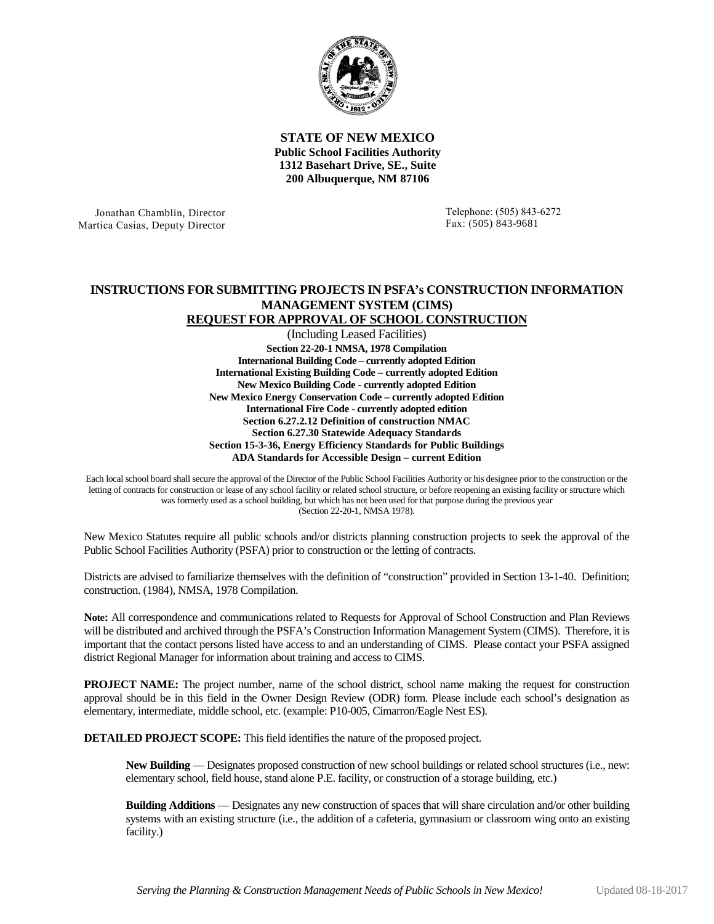

**STATE OF NEW MEXICO Public School Facilities Authority 1312 Basehart Drive, SE., Suite 200 Albuquerque, NM 87106**

Jonathan Chamblin, Director Martica Casias, Deputy Director Telephone: (505) 843-6272 Fax: (505) 843-9681

## **INSTRUCTIONS FOR SUBMITTING PROJECTS IN PSFA's CONSTRUCTION INFORMATION MANAGEMENT SYSTEM (CIMS) REQUEST FOR APPROVAL OF SCHOOL CONSTRUCTION**

(Including Leased Facilities) **Section 22-20-1 NMSA, 1978 Compilation International Building Code – currently adopted Edition International Existing Building Code – currently adopted Edition New Mexico Building Code - currently adopted Edition New Mexico Energy Conservation Code – currently adopted Edition International Fire Code - currently adopted edition Section 6.27.2.12 Definition of construction NMAC Section 6.27.30 Statewide Adequacy Standards Section 15-3-36, Energy Efficiency Standards for Public Buildings ADA Standards for Accessible Design – current Edition**

Each local school board shall secure the approval of the Director of the Public School Facilities Authority or his designee prior to the construction or the letting of contracts for construction or lease of any school facility or related school structure, or before reopening an existing facility or structure which was formerly used as a school building, but which has not been used for that purpose during the previous year (Section 22-20-1, NMSA 1978).

New Mexico Statutes require all public schools and/or districts planning construction projects to seek the approval of the Public School Facilities Authority (PSFA) prior to construction or the letting of contracts.

Districts are advised to familiarize themselves with the definition of "construction" provided in Section 13-1-40. Definition; construction. (1984), NMSA, 1978 Compilation.

**Note:** All correspondence and communications related to Requests for Approval of School Construction and Plan Reviews will be distributed and archived through the PSFA's Construction Information Management System (CIMS). Therefore, it is important that the contact persons listed have access to and an understanding of CIMS. Please contact your PSFA assigned district Regional Manager for information about training and access to CIMS.

**PROJECT NAME:** The project number, name of the school district, school name making the request for construction approval should be in this field in the Owner Design Review (ODR) form. Please include each school's designation as elementary, intermediate, middle school, etc. (example: P10-005, Cimarron/Eagle Nest ES).

**DETAILED PROJECT SCOPE:** This field identifies the nature of the proposed project.

**New Building** — Designates proposed construction of new school buildings or related school structures (i.e., new: elementary school, field house, stand alone P.E. facility, or construction of a storage building, etc.)

**Building Additions** — Designates any new construction of spaces that will share circulation and/or other building systems with an existing structure (i.e., the addition of a cafeteria, gymnasium or classroom wing onto an existing facility.)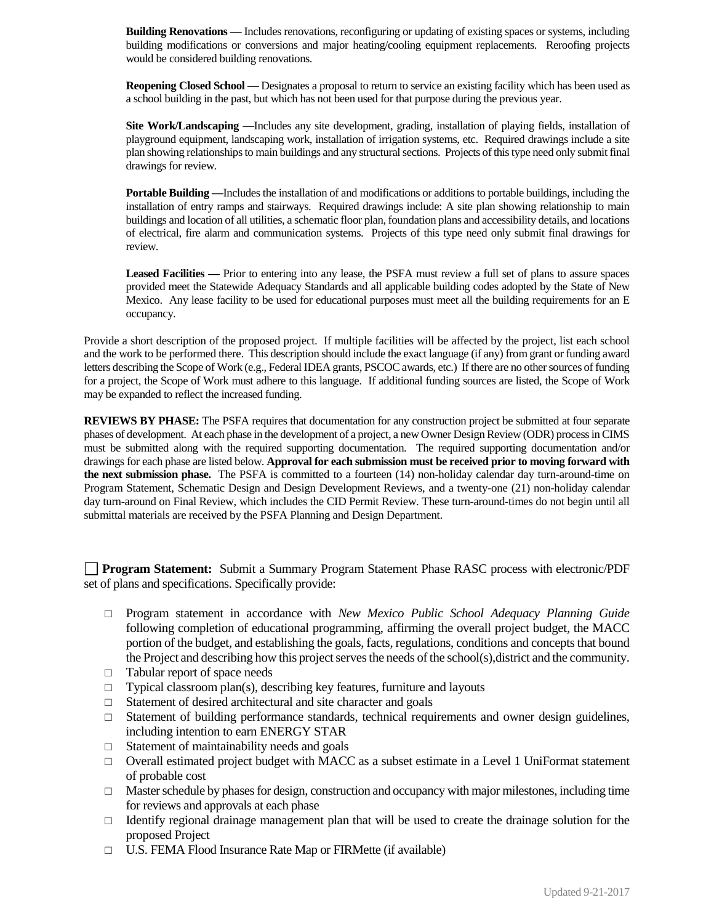**Building Renovations** — Includes renovations, reconfiguring or updating of existing spaces or systems, including building modifications or conversions and major heating/cooling equipment replacements. Reroofing projects would be considered building renovations.

**Reopening Closed School** — Designates a proposal to return to service an existing facility which has been used as a school building in the past, but which has not been used for that purpose during the previous year.

**Site Work/Landscaping** —Includes any site development, grading, installation of playing fields, installation of playground equipment, landscaping work, installation of irrigation systems, etc. Required drawings include a site plan showing relationships to main buildings and any structural sections. Projects of this type need only submit final drawings for review.

**Portable Building —**Includes the installation of and modifications or additions to portable buildings, including the installation of entry ramps and stairways. Required drawings include: A site plan showing relationship to main buildings and location of all utilities, a schematic floor plan, foundation plans and accessibility details, and locations of electrical, fire alarm and communication systems. Projects of this type need only submit final drawings for review.

**Leased Facilities —** Prior to entering into any lease, the PSFA must review a full set of plans to assure spaces provided meet the Statewide Adequacy Standards and all applicable building codes adopted by the State of New Mexico. Any lease facility to be used for educational purposes must meet all the building requirements for an E occupancy.

Provide a short description of the proposed project. If multiple facilities will be affected by the project, list each school and the work to be performed there.This description should include the exact language (if any) from grant or funding award letters describing the Scope of Work (e.g., Federal IDEA grants, PSCOC awards, etc.) If there are no other sources of funding for a project, the Scope of Work must adhere to this language. If additional funding sources are listed, the Scope of Work may be expanded to reflect the increased funding.

**REVIEWS BY PHASE:** The PSFA requires that documentation for any construction project be submitted at four separate phases of development. At each phase in the development of a project, a new Owner Design Review (ODR) processin CIMS must be submitted along with the required supporting documentation. The required supporting documentation and/or drawings for each phase are listed below. **Approval for each submission must be received prior to moving forward with the next submission phase.** The PSFA is committed to a fourteen (14) non-holiday calendar day turn-around-time on Program Statement, Schematic Design and Design Development Reviews, and a twenty-one (21) non-holiday calendar day turn-around on Final Review, which includes the CID Permit Review. These turn-around-times do not begin until all submittal materials are received by the PSFA Planning and Design Department.

**Program Statement:** Submit a Summary Program Statement Phase RASC process with electronic/PDF set of plans and specifications. Specifically provide:

- □ Program statement in accordance with *New Mexico Public School Adequacy Planning Guide* following completion of educational programming, affirming the overall project budget, the MACC portion of the budget, and establishing the goals, facts, regulations, conditions and concepts that bound the Project and describing how this project serves the needs of the school(s),district and the community.
- □ Tabular report of space needs
- $\Box$  Typical classroom plan(s), describing key features, furniture and layouts
- $\Box$  Statement of desired architectural and site character and goals
- $\Box$  Statement of building performance standards, technical requirements and owner design guidelines, including intention to earn ENERGY STAR
- $\Box$  Statement of maintainability needs and goals
- $\Box$  Overall estimated project budget with MACC as a subset estimate in a Level 1 UniFormat statement of probable cost
- $\Box$  Master schedule by phases for design, construction and occupancy with major milestones, including time for reviews and approvals at each phase
- $\Box$  Identify regional drainage management plan that will be used to create the drainage solution for the proposed Project
- □ U.S. FEMA Flood Insurance Rate Map or FIRMette (if available)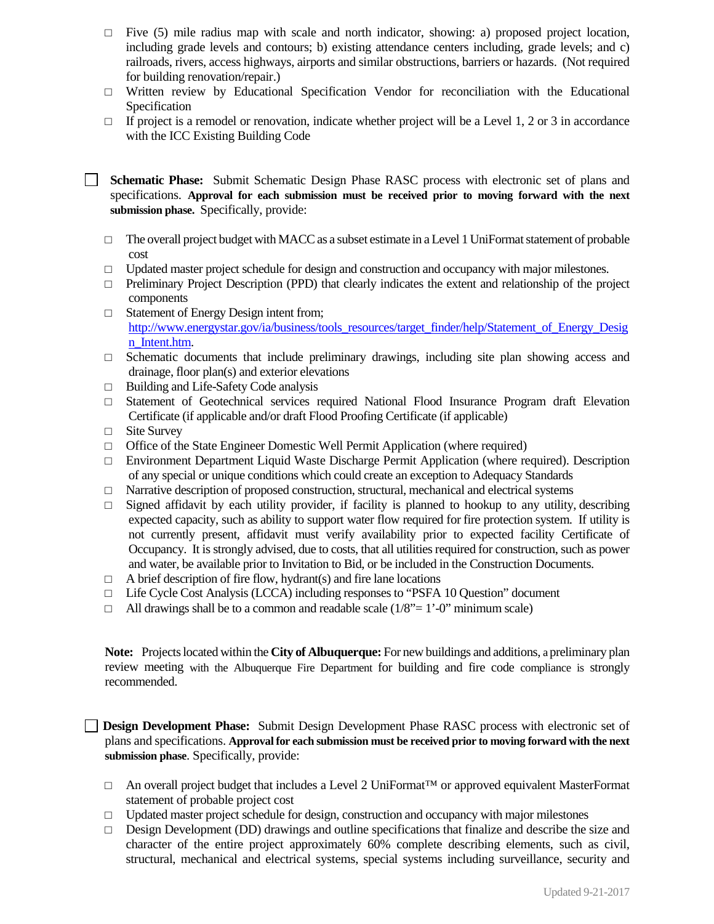- $\Box$  Five (5) mile radius map with scale and north indicator, showing: a) proposed project location, including grade levels and contours; b) existing attendance centers including, grade levels; and c) railroads, rivers, access highways, airports and similar obstructions, barriers or hazards. (Not required for building renovation/repair.)
- □ Written review by Educational Specification Vendor for reconciliation with the Educational Specification
- $\Box$  If project is a remodel or renovation, indicate whether project will be a Level 1, 2 or 3 in accordance with the ICC Existing Building Code
- **Schematic Phase:** Submit Schematic Design Phase RASC process with electronic set of plans and specifications. **Approval for each submission must be received prior to moving forward with the next submission phase.** Specifically, provide:
	- $\Box$  The overall project budget with MACC as a subset estimate in a Level 1 UniFormat statement of probable cost
	- □ Updated master project schedule for design and construction and occupancy with major milestones.
	- $\Box$  Preliminary Project Description (PPD) that clearly indicates the extent and relationship of the project components
	- □ Statement of Energy Design intent from; [http://www.energystar.gov/ia/business/tools\\_resources/target\\_finder/help/Statement\\_of\\_Energy\\_Desig](http://www.energystar.gov/ia/business/tools_resources/target_finder/help/Statement_of_Energy_Design_Intent.htm) [n\\_Intent.htm.](http://www.energystar.gov/ia/business/tools_resources/target_finder/help/Statement_of_Energy_Design_Intent.htm)
	- $\Box$  Schematic documents that include preliminary drawings, including site plan showing access and drainage, floor plan(s) and exterior elevations
	- □ Building and Life-Safety Code analysis
	- □ Statement of Geotechnical services required National Flood Insurance Program draft Elevation Certificate (if applicable and/or draft Flood Proofing Certificate (if applicable)
	- □ Site Survey

 $\mathbb{R}^n$ 

- $\Box$  Office of the State Engineer Domestic Well Permit Application (where required)
- □ Environment Department Liquid Waste Discharge Permit Application (where required). Description of any special or unique conditions which could create an exception to Adequacy Standards
- $\Box$  Narrative description of proposed construction, structural, mechanical and electrical systems
- $\Box$  Signed affidavit by each utility provider, if facility is planned to hookup to any utility, describing expected capacity, such as ability to support water flow required for fire protection system. If utility is not currently present, affidavit must verify availability prior to expected facility Certificate of Occupancy. It is strongly advised, due to costs, that all utilities required for construction, such as power and water, be available prior to Invitation to Bid, or be included in the Construction Documents.
- $\Box$  A brief description of fire flow, hydrant(s) and fire lane locations
- $\Box$  Life Cycle Cost Analysis (LCCA) including responses to "PSFA 10 Question" document
- $\Box$  All drawings shall be to a common and readable scale (1/8"= 1'-0" minimum scale)

**Note:** Projects located within the **City of Albuquerque:** For new buildings and additions, a preliminary plan review meeting with the Albuquerque Fire Department for building and fire code compliance is strongly recommended.

**Design Development Phase:** Submit Design Development Phase RASC process with electronic set of plans and specifications. **Approval for each submission must be received prior to moving forward with the next submission phase**. Specifically, provide:

- □ An overall project budget that includes a Level 2 UniFormat™ or approved equivalent MasterFormat statement of probable project cost
- □ Updated master project schedule for design, construction and occupancy with major milestones
- $\square$  Design Development (DD) drawings and outline specifications that finalize and describe the size and character of the entire project approximately 60% complete describing elements, such as civil, structural, mechanical and electrical systems, special systems including surveillance, security and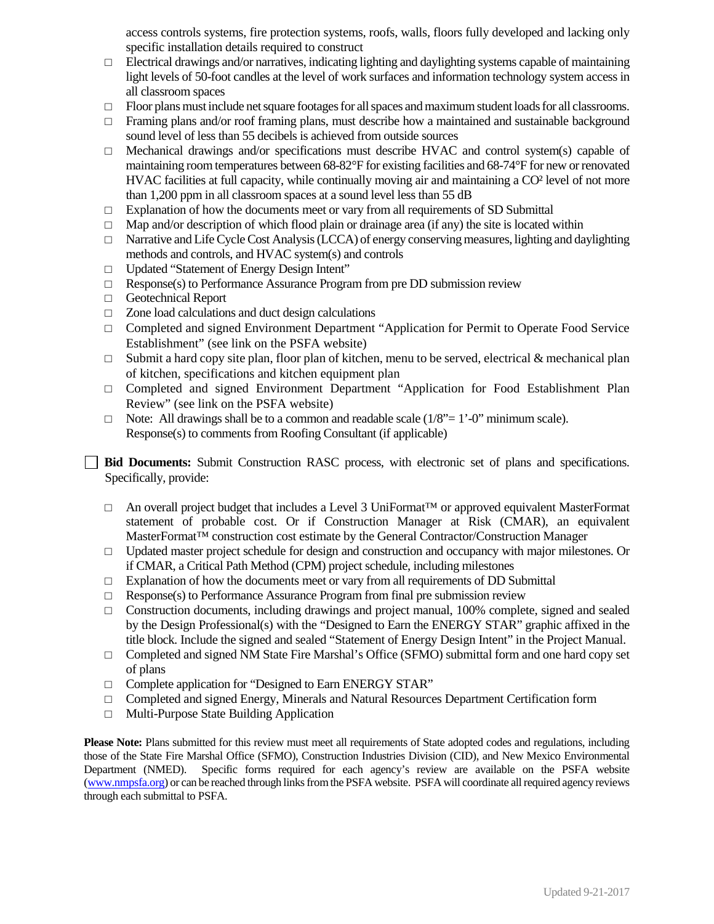access controls systems, fire protection systems, roofs, walls, floors fully developed and lacking only specific installation details required to construct

- $\Box$  Electrical drawings and/or narratives, indicating lighting and daylighting systems capable of maintaining light levels of 50-foot candles at the level of work surfaces and information technology system access in all classroom spaces
- □ Floor plans must include net square footages for all spaces and maximum student loads for all classrooms.
- $\Box$  Framing plans and/or roof framing plans, must describe how a maintained and sustainable background sound level of less than 55 decibels is achieved from outside sources
- $\Box$  Mechanical drawings and/or specifications must describe HVAC and control system(s) capable of maintaining room temperatures between 68-82°F for existing facilities and 68-74°F for new or renovated HVAC facilities at full capacity, while continually moving air and maintaining a CO² level of not more than 1,200 ppm in all classroom spaces at a sound level less than 55 dB
- $\Box$  Explanation of how the documents meet or vary from all requirements of SD Submittal
- $\Box$  Map and/or description of which flood plain or drainage area (if any) the site is located within
- $\Box$  Narrative and Life Cycle Cost Analysis (LCCA) of energy conserving measures, lighting and daylighting methods and controls, and HVAC system(s) and controls
- □ Updated "Statement of Energy Design Intent"
- $\Box$  Response(s) to Performance Assurance Program from pre DD submission review
- □ Geotechnical Report
- □ Zone load calculations and duct design calculations
- □ Completed and signed Environment Department "Application for Permit to Operate Food Service Establishment" (see link on the PSFA website)
- $\Box$  Submit a hard copy site plan, floor plan of kitchen, menu to be served, electrical & mechanical plan of kitchen, specifications and kitchen equipment plan
- □ Completed and signed Environment Department "Application for Food Establishment Plan Review" (see link on the PSFA website)
- $\Box$  Note: All drawings shall be to a common and readable scale  $(1/8^{\circ} = 1^{\circ} \text{O}^{\circ})$  minimum scale). Response(s) to comments from Roofing Consultant (if applicable)

**Bid Documents:** Submit Construction RASC process, with electronic set of plans and specifications. Specifically, provide:

- □ An overall project budget that includes a Level 3 UniFormat™ or approved equivalent MasterFormat statement of probable cost. Or if Construction Manager at Risk (CMAR), an equivalent MasterFormat™ construction cost estimate by the General Contractor/Construction Manager
- □ Updated master project schedule for design and construction and occupancy with major milestones. Or if CMAR, a Critical Path Method (CPM) project schedule, including milestones
- $\Box$  Explanation of how the documents meet or vary from all requirements of DD Submittal
- $\Box$  Response(s) to Performance Assurance Program from final pre submission review
- $\Box$  Construction documents, including drawings and project manual, 100% complete, signed and sealed by the Design Professional(s) with the "Designed to Earn the ENERGY STAR" graphic affixed in the title block. Include the signed and sealed "Statement of Energy Design Intent" in the Project Manual.
- $\Box$  Completed and signed NM State Fire Marshal's Office (SFMO) submittal form and one hard copy set of plans
- □ Complete application for "Designed to Earn ENERGY STAR"
- □ Completed and signed Energy, Minerals and Natural Resources Department Certification form
- □ Multi-Purpose State Building Application

**Please Note:** Plans submitted for this review must meet all requirements of State adopted codes and regulations, including those of the State Fire Marshal Office (SFMO), Construction Industries Division (CID), and New Mexico Environmental Department (NMED). Specific forms required for each agency's review are available on the PSFA website [\(www.nmpsfa.org\)](http://www.nmpsfa.org/) or can be reached through links from the PSFA website. PSFA will coordinate all required agency reviews through each submittal to PSFA.